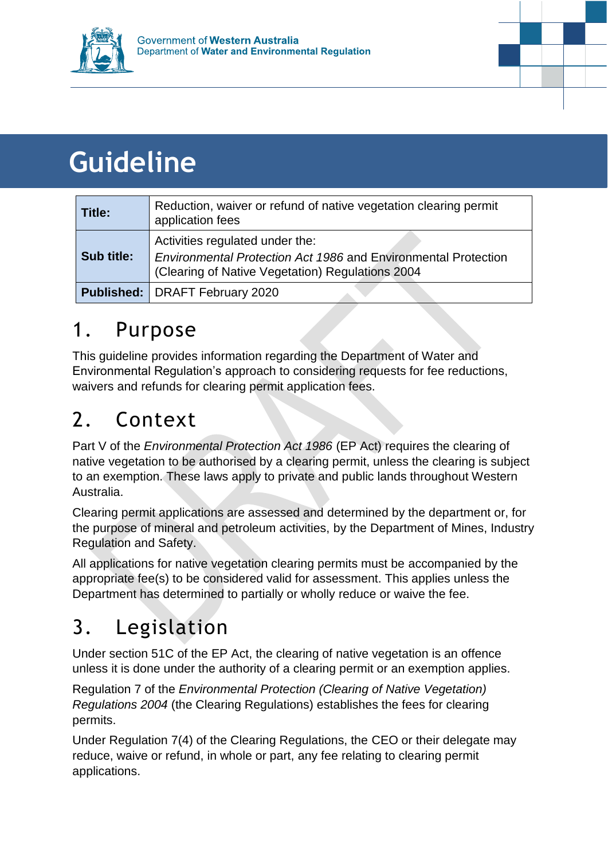



# **Guideline**

| Title:     | Reduction, waiver or refund of native vegetation clearing permit<br>application fees                                                                  |
|------------|-------------------------------------------------------------------------------------------------------------------------------------------------------|
| Sub title: | Activities regulated under the:<br>Environmental Protection Act 1986 and Environmental Protection<br>(Clearing of Native Vegetation) Regulations 2004 |
|            | <b>Published: DRAFT February 2020</b>                                                                                                                 |

### 1. Purpose

This guideline provides information regarding the Department of Water and Environmental Regulation's approach to considering requests for fee reductions, waivers and refunds for clearing permit application fees.

# 2. Context

Part V of the *Environmental Protection Act 1986* (EP Act) requires the clearing of native vegetation to be authorised by a clearing permit, unless the clearing is subject to an exemption. These laws apply to private and public lands throughout Western Australia.

Clearing permit applications are assessed and determined by the department or, for the purpose of mineral and petroleum activities, by the Department of Mines, Industry Regulation and Safety.

All applications for native vegetation clearing permits must be accompanied by the appropriate fee(s) to be considered valid for assessment. This applies unless the Department has determined to partially or wholly reduce or waive the fee.

# 3. Legislation

Under section 51C of the EP Act, the clearing of native vegetation is an offence unless it is done under the authority of a clearing permit or an exemption applies.

Regulation 7 of the *Environmental Protection (Clearing of Native Vegetation) Regulations 2004* (the Clearing Regulations) establishes the fees for clearing permits.

Under Regulation 7(4) of the Clearing Regulations, the CEO or their delegate may reduce, waive or refund, in whole or part, any fee relating to clearing permit applications.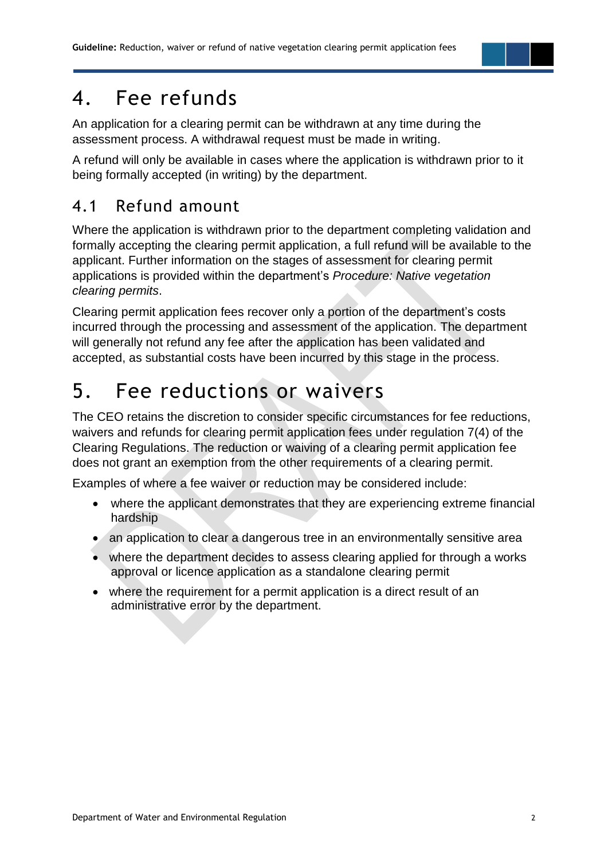#### 4. Fee refunds

An application for a clearing permit can be withdrawn at any time during the assessment process. A withdrawal request must be made in writing.

A refund will only be available in cases where the application is withdrawn prior to it being formally accepted (in writing) by the department.

#### 4.1 Refund amount

Where the application is withdrawn prior to the department completing validation and formally accepting the clearing permit application, a full refund will be available to the applicant. Further information on the stages of assessment for clearing permit applications is provided within the department's *Procedure: Native vegetation clearing permits*.

Clearing permit application fees recover only a portion of the department's costs incurred through the processing and assessment of the application. The department will generally not refund any fee after the application has been validated and accepted, as substantial costs have been incurred by this stage in the process.

### 5. Fee reductions or waivers

The CEO retains the discretion to consider specific circumstances for fee reductions, waivers and refunds for clearing permit application fees under regulation 7(4) of the Clearing Regulations. The reduction or waiving of a clearing permit application fee does not grant an exemption from the other requirements of a clearing permit.

Examples of where a fee waiver or reduction may be considered include:

- where the applicant demonstrates that they are experiencing extreme financial hardship
- an application to clear a dangerous tree in an environmentally sensitive area
- where the department decides to assess clearing applied for through a works approval or licence application as a standalone clearing permit
- where the requirement for a permit application is a direct result of an administrative error by the department.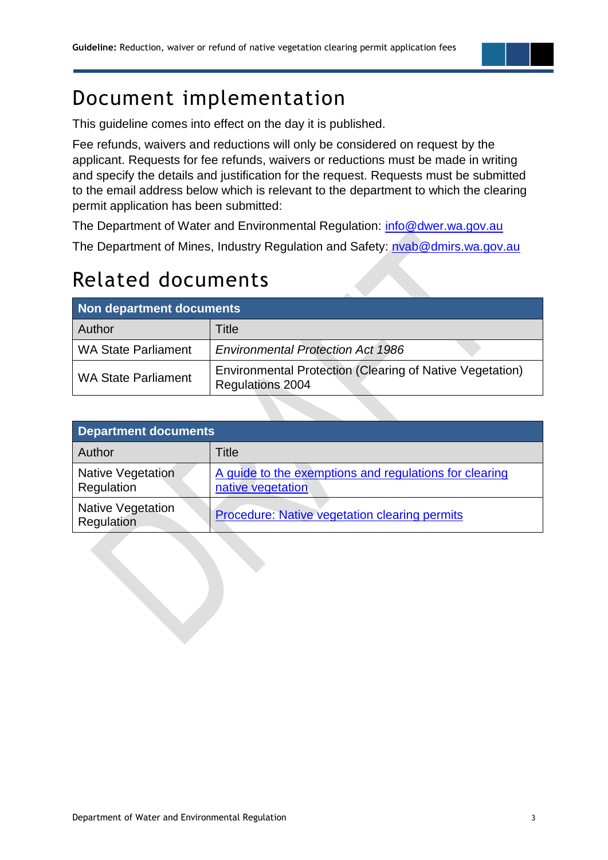#### Document implementation

This guideline comes into effect on the day it is published.

Fee refunds, waivers and reductions will only be considered on request by the applicant. Requests for fee refunds, waivers or reductions must be made in writing and specify the details and justification for the request. Requests must be submitted to the email address below which is relevant to the department to which the clearing permit application has been submitted:

The Department of Water and Environmental Regulation: [info@dwer.wa.gov.au](mailto:info@dwer.wa.gov.au)

The Department of Mines, Industry Regulation and Safety: [nvab@dmirs.wa.gov.au](mailto:nvab@dmirs.wa.gov.au)

### Related documents

| Non department documents   |                                                                                            |  |  |
|----------------------------|--------------------------------------------------------------------------------------------|--|--|
| <b>Author</b>              | Title                                                                                      |  |  |
| <b>WA State Parliament</b> | <b>Environmental Protection Act 1986</b>                                                   |  |  |
| <b>WA State Parliament</b> | <b>Environmental Protection (Clearing of Native Vegetation)</b><br><b>Regulations 2004</b> |  |  |

| <b>Department documents</b>            |                                                                             |  |  |
|----------------------------------------|-----------------------------------------------------------------------------|--|--|
| Author                                 | Title                                                                       |  |  |
| <b>Native Vegetation</b><br>Regulation | A guide to the exemptions and regulations for clearing<br>native vegetation |  |  |
| <b>Native Vegetation</b><br>Regulation | Procedure: Native vegetation clearing permits                               |  |  |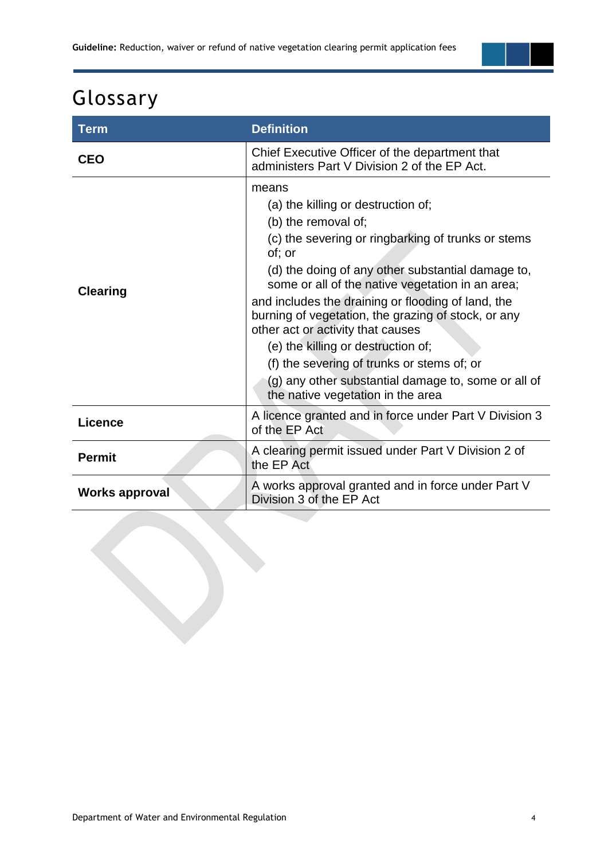# Glossary

| <b>Term</b>           | <b>Definition</b>                                                                                                                                                                                                                                                                                                                                                                                                                                                                                                                                                             |
|-----------------------|-------------------------------------------------------------------------------------------------------------------------------------------------------------------------------------------------------------------------------------------------------------------------------------------------------------------------------------------------------------------------------------------------------------------------------------------------------------------------------------------------------------------------------------------------------------------------------|
| <b>CEO</b>            | Chief Executive Officer of the department that<br>administers Part V Division 2 of the EP Act.                                                                                                                                                                                                                                                                                                                                                                                                                                                                                |
| <b>Clearing</b>       | means<br>(a) the killing or destruction of;<br>(b) the removal of;<br>(c) the severing or ringbarking of trunks or stems<br>of; or<br>(d) the doing of any other substantial damage to,<br>some or all of the native vegetation in an area;<br>and includes the draining or flooding of land, the<br>burning of vegetation, the grazing of stock, or any<br>other act or activity that causes<br>(e) the killing or destruction of;<br>(f) the severing of trunks or stems of; or<br>(g) any other substantial damage to, some or all of<br>the native vegetation in the area |
| Licence               | A licence granted and in force under Part V Division 3<br>of the EP Act                                                                                                                                                                                                                                                                                                                                                                                                                                                                                                       |
| <b>Permit</b>         | A clearing permit issued under Part V Division 2 of<br>the EP Act                                                                                                                                                                                                                                                                                                                                                                                                                                                                                                             |
| <b>Works approval</b> | A works approval granted and in force under Part V<br>Division 3 of the EP Act                                                                                                                                                                                                                                                                                                                                                                                                                                                                                                |